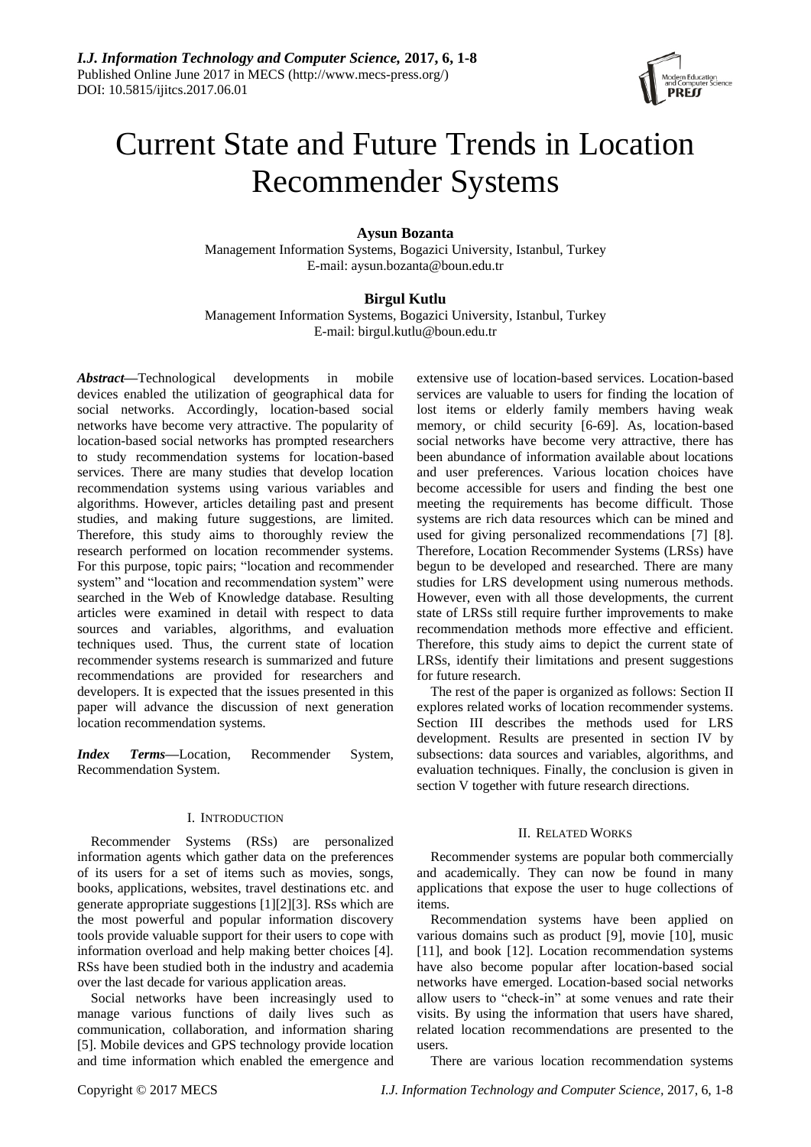

# Current State and Future Trends in Location Recommender Systems

# **Aysun Bozanta**

Management Information Systems, Bogazici University, Istanbul, Turkey E-mail: aysun.bozanta@boun.edu.tr

# **Birgul Kutlu**

Management Information Systems, Bogazici University, Istanbul, Turkey E-mail: [birgul.kutlu@boun.edu.tr](mailto:birgul.kutlu@boun.edu.tr)

*Abstract***—**Technological developments in mobile devices enabled the utilization of geographical data for social networks. Accordingly, location-based social networks have become very attractive. The popularity of location-based social networks has prompted researchers to study recommendation systems for location-based services. There are many studies that develop location recommendation systems using various variables and algorithms. However, articles detailing past and present studies, and making future suggestions, are limited. Therefore, this study aims to thoroughly review the research performed on location recommender systems. For this purpose, topic pairs; "location and recommender system" and "location and recommendation system" were searched in the Web of Knowledge database. Resulting articles were examined in detail with respect to data sources and variables, algorithms, and evaluation techniques used. Thus, the current state of location recommender systems research is summarized and future recommendations are provided for researchers and developers. It is expected that the issues presented in this paper will advance the discussion of next generation location recommendation systems.

*Index Terms***—**Location, Recommender System, Recommendation System.

# I. INTRODUCTION

Recommender Systems (RSs) are personalized information agents which gather data on the preferences of its users for a set of items such as movies, songs, books, applications, websites, travel destinations etc. and generate appropriate suggestions [1][2][3]. RSs which are the most powerful and popular information discovery tools provide valuable support for their users to cope with information overload and help making better choices [4]. RSs have been studied both in the industry and academia over the last decade for various application areas.

Social networks have been increasingly used to manage various functions of daily lives such as communication, collaboration, and information sharing [5]. Mobile devices and GPS technology provide location and time information which enabled the emergence and extensive use of location-based services. Location-based services are valuable to users for finding the location of lost items or elderly family members having weak memory, or child security [6-69]. As, location-based social networks have become very attractive, there has been abundance of information available about locations and user preferences. Various location choices have become accessible for users and finding the best one meeting the requirements has become difficult. Those systems are rich data resources which can be mined and used for giving personalized recommendations [7] [8]. Therefore, Location Recommender Systems (LRSs) have begun to be developed and researched. There are many studies for LRS development using numerous methods. However, even with all those developments, the current state of LRSs still require further improvements to make recommendation methods more effective and efficient. Therefore, this study aims to depict the current state of LRSs, identify their limitations and present suggestions for future research.

The rest of the paper is organized as follows: Section II explores related works of location recommender systems. Section III describes the methods used for LRS development. Results are presented in section IV by subsections: data sources and variables, algorithms, and evaluation techniques. Finally, the conclusion is given in section V together with future research directions.

# II. RELATED WORKS

Recommender systems are popular both commercially and academically. They can now be found in many applications that expose the user to huge collections of items.

Recommendation systems have been applied on various domains such as product [9], movie [10], music [11], and book [12]. Location recommendation systems have also become popular after location-based social networks have emerged. Location-based social networks allow users to "check-in" at some venues and rate their visits. By using the information that users have shared, related location recommendations are presented to the users.

There are various location recommendation systems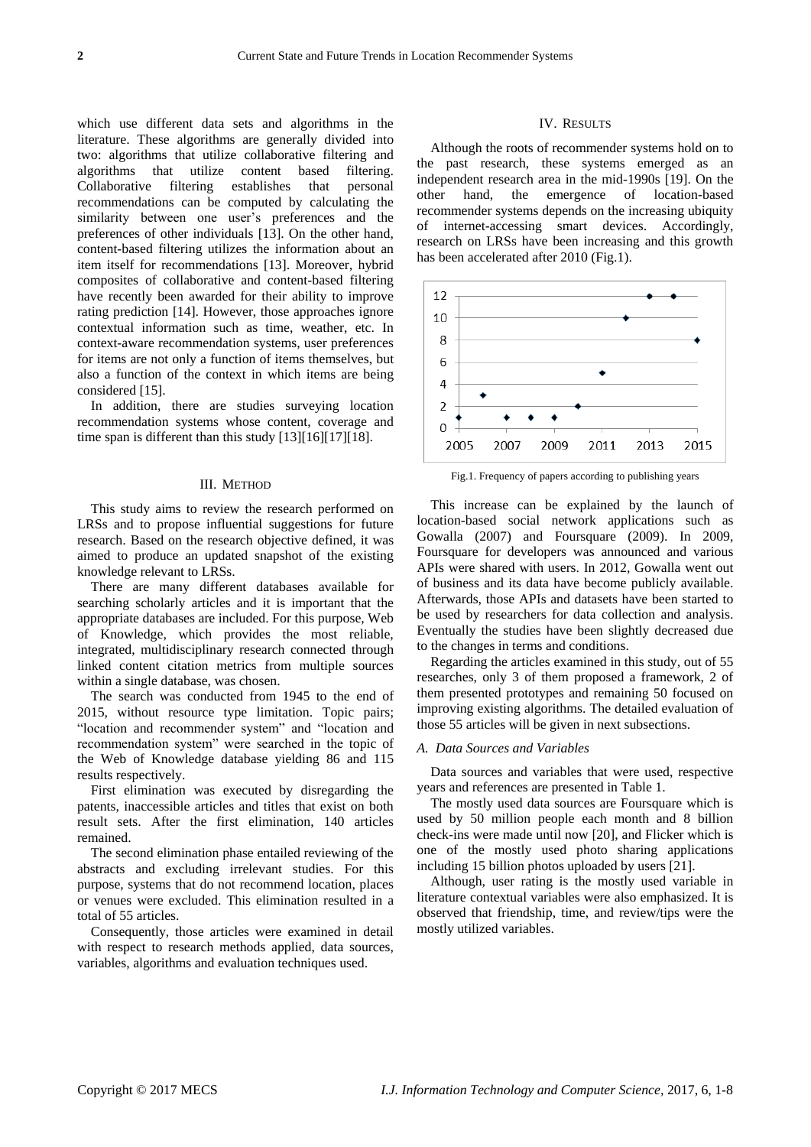which use different data sets and algorithms in the literature. These algorithms are generally divided into two: algorithms that utilize collaborative filtering and algorithms that utilize content based filtering. Collaborative filtering establishes that personal recommendations can be computed by calculating the similarity between one user's preferences and the preferences of other individuals [13]. On the other hand, content-based filtering utilizes the information about an item itself for recommendations [13]. Moreover, hybrid composites of collaborative and content-based filtering have recently been awarded for their ability to improve rating prediction [14]. However, those approaches ignore contextual information such as time, weather, etc. In context-aware recommendation systems, user preferences for items are not only a function of items themselves, but also a function of the context in which items are being considered [15].

In addition, there are studies surveying location recommendation systems whose content, coverage and time span is different than this study [13][16][17][18].

#### III. METHOD

This study aims to review the research performed on LRSs and to propose influential suggestions for future research. Based on the research objective defined, it was aimed to produce an updated snapshot of the existing knowledge relevant to LRSs.

There are many different databases available for searching scholarly articles and it is important that the appropriate databases are included. For this purpose, Web of Knowledge, which provides the most reliable, integrated, multidisciplinary research connected through linked content citation metrics from multiple sources within a single database, was chosen.

The search was conducted from 1945 to the end of 2015, without resource type limitation. Topic pairs; "location and recommender system" and "location and recommendation system" were searched in the topic of the Web of Knowledge database yielding 86 and 115 results respectively.

First elimination was executed by disregarding the patents, inaccessible articles and titles that exist on both result sets. After the first elimination, 140 articles remained.

The second elimination phase entailed reviewing of the abstracts and excluding irrelevant studies. For this purpose, systems that do not recommend location, places or venues were excluded. This elimination resulted in a total of 55 articles.

Consequently, those articles were examined in detail with respect to research methods applied, data sources, variables, algorithms and evaluation techniques used.

#### IV. RESULTS

Although the roots of recommender systems hold on to the past research, these systems emerged as an independent research area in the mid-1990s [19]. On the other hand, the emergence of location-based recommender systems depends on the increasing ubiquity of internet-accessing smart devices. Accordingly, research on LRSs have been increasing and this growth has been accelerated after 2010 (Fig.1).



Fig.1. Frequency of papers according to publishing years

This increase can be explained by the launch of location-based social network applications such as Gowalla (2007) and Foursquare (2009). In 2009, Foursquare for developers was announced and various APIs were shared with users. In 2012, Gowalla went out of business and its data have become publicly available. Afterwards, those APIs and datasets have been started to be used by researchers for data collection and analysis. Eventually the studies have been slightly decreased due to the changes in terms and conditions.

Regarding the articles examined in this study, out of 55 researches, only 3 of them proposed a framework, 2 of them presented prototypes and remaining 50 focused on improving existing algorithms. The detailed evaluation of those 55 articles will be given in next subsections.

#### *A. Data Sources and Variables*

Data sources and variables that were used, respective years and references are presented in Table 1.

The mostly used data sources are Foursquare which is used by 50 million people each month and 8 billion check-ins were made until now [20], and Flicker which is one of the mostly used photo sharing applications including 15 billion photos uploaded by users [21].

Although, user rating is the mostly used variable in literature contextual variables were also emphasized. It is observed that friendship, time, and review/tips were the mostly utilized variables.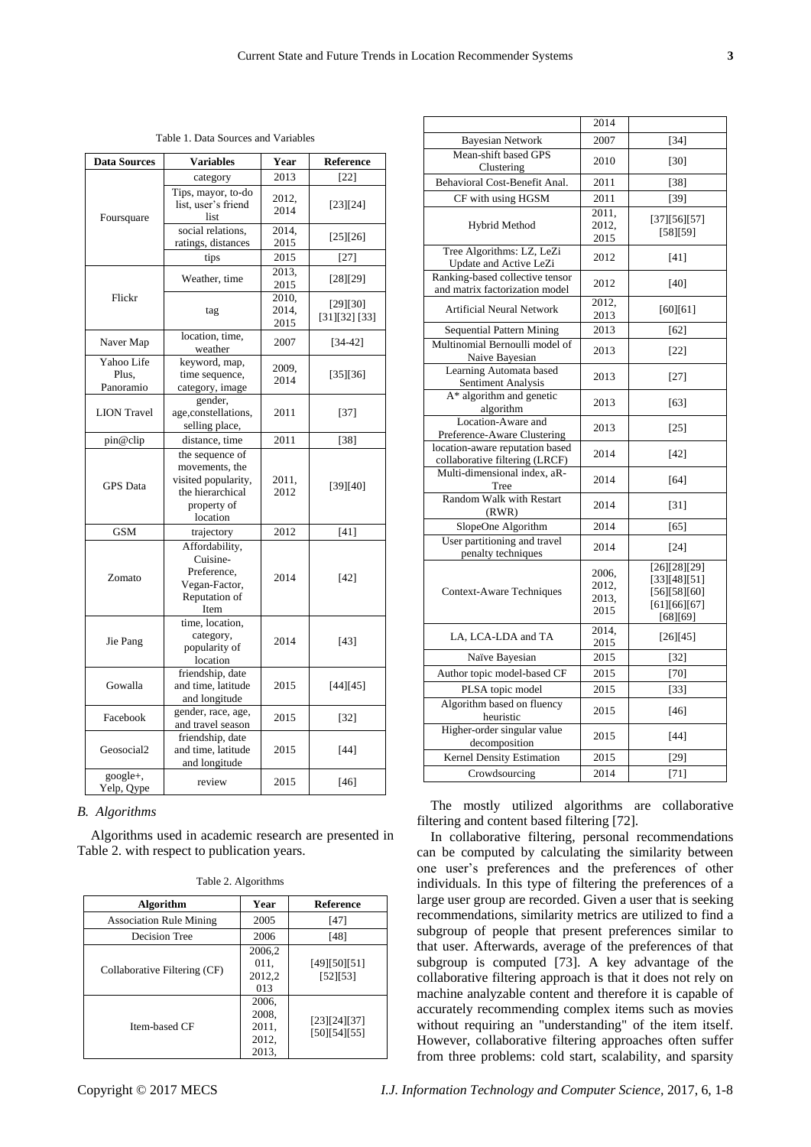| <b>Data Sources</b>              | <b>Variables</b>                                                                                        | Year                   | <b>Reference</b>          |
|----------------------------------|---------------------------------------------------------------------------------------------------------|------------------------|---------------------------|
|                                  | category                                                                                                | 2013                   | $[22]$                    |
| Foursquare                       | Tips, mayor, to-do<br>list, user's friend<br>list                                                       | 2012,<br>2014          | [23][24]                  |
|                                  | social relations,<br>ratings, distances                                                                 | 2014.<br>2015          | [25][26]                  |
|                                  | tips                                                                                                    | 2015                   | $[27]$                    |
| Flickr                           | Weather, time                                                                                           | 2013.<br>2015          | [28][29]                  |
|                                  | tag                                                                                                     | 2010.<br>2014,<br>2015 | [29][30]<br>[31][32] [33] |
| Naver Map                        | location, time,<br>weather                                                                              | 2007                   | $[34 - 42]$               |
| Yahoo Life<br>Plus.<br>Panoramio | keyword, map,<br>time sequence,<br>category, image                                                      | 2009,<br>2014          | [35][36]                  |
| <b>LION</b> Travel               | gender,<br>age,constellations,<br>selling place,                                                        | 2011                   | $[37]$                    |
| pin@clip                         | distance, time                                                                                          | 2011                   | $[38]$                    |
| <b>GPS</b> Data                  | the sequence of<br>movements, the<br>visited popularity,<br>the hierarchical<br>property of<br>location | 2011,<br>2012          | [39][40]                  |
| <b>GSM</b>                       | trajectory                                                                                              | 2012                   | [41]                      |
| Zomato                           | Affordability,<br>Cuisine-<br>Preference,<br>Vegan-Factor,<br>Reputation of<br>Item                     | 2014                   | $[42]$                    |
| Jie Pang                         | time, location,<br>category,<br>popularity of<br>location                                               | 2014                   | [43]                      |
| Gowalla                          | friendship, date<br>and time, latitude<br>and longitude                                                 | 2015                   | [44][45]                  |
| Facebook                         | gender, race, age,<br>and travel season                                                                 | 2015                   | $[32]$                    |
| Geosocial <sub>2</sub>           | friendship, date<br>and time, latitude<br>and longitude                                                 | 2015                   | $[44]$                    |
| google+,<br>Yelp, Qype           | review                                                                                                  | 2015                   | $[46]$                    |

*B. Algorithms*

Algorithms used in academic research are presented in Table 2. with respect to publication years.

Table 2. Algorithms

| <b>Algorithm</b>               | Year                                      | <b>Reference</b>             |
|--------------------------------|-------------------------------------------|------------------------------|
| <b>Association Rule Mining</b> | 2005                                      | [47]                         |
| <b>Decision Tree</b>           | 2006                                      | [48]                         |
| Collaborative Filtering (CF)   | 2006,2<br>011.<br>2012,2<br>013           | [49][50][51]<br>[52] [53]    |
| Item-based CF                  | 2006,<br>2008.<br>2011,<br>2012,<br>2013. | [23][24][37]<br>[50][54][55] |

|                                                                   | 2014                            |                                                                          |
|-------------------------------------------------------------------|---------------------------------|--------------------------------------------------------------------------|
| <b>Bayesian Network</b>                                           | 2007                            | $[34]$                                                                   |
| Mean-shift based GPS<br>Clustering                                | 2010                            | $[30]$                                                                   |
| Behavioral Cost-Benefit Anal.                                     | 2011                            | $[38]$                                                                   |
| CF with using HGSM                                                | 2011                            | $[39]$                                                                   |
| Hybrid Method                                                     | 2011,<br>2012,<br>2015          | [37][56][57]<br>[58][59]                                                 |
| Tree Algorithms: LZ, LeZi<br>Update and Active LeZi               | 2012                            | [41]                                                                     |
| Ranking-based collective tensor<br>and matrix factorization model | 2012                            | [40]                                                                     |
| <b>Artificial Neural Network</b>                                  | 2012,<br>2013                   | $[60][61]$                                                               |
| Sequential Pattern Mining                                         | 2013                            | $[62]$                                                                   |
| Multinomial Bernoulli model of<br>Naive Bayesian                  | 2013                            | $[22]$                                                                   |
| Learning Automata based<br>Sentiment Analysis                     | 2013                            | $[27]$                                                                   |
| A* algorithm and genetic<br>algorithm                             | 2013                            | [63]                                                                     |
| Location-Aware and<br>Preference-Aware Clustering                 | 2013                            | $[25]$                                                                   |
| location-aware reputation based<br>collaborative filtering (LRCF) | 2014                            | [42]                                                                     |
| Multi-dimensional index, aR-<br>Tree                              | 2014                            | $[64]$                                                                   |
| Random Walk with Restart<br>(RWR)                                 | 2014                            | $[31]$                                                                   |
| SlopeOne Algorithm                                                | 2014                            | $[65]$                                                                   |
| User partitioning and travel<br>penalty techniques                | 2014                            | $[24]$                                                                   |
| <b>Context-Aware Techniques</b>                                   | 2006,<br>2012,<br>2013,<br>2015 | [26][28][29]<br>[33][48][51]<br>[56][58][60]<br>[61][66][67]<br>[68][69] |
| LA, LCA-LDA and TA                                                | 2014,<br>2015                   | [26][45]                                                                 |
| Na ive Bayesian                                                   | 2015                            | $[32]$                                                                   |
| Author topic model-based CF                                       | 2015                            | $[70]$                                                                   |
| PLSA topic model                                                  | 2015                            | $[33]$                                                                   |
| Algorithm based on fluency<br>heuristic                           | 2015                            | $[46]$                                                                   |
| Higher-order singular value<br>decomposition                      | 2015                            | $[44]$                                                                   |
| <b>Kernel Density Estimation</b>                                  | 2015                            | $[29]$                                                                   |
| Crowdsourcing                                                     | 2014                            | $[71]$                                                                   |

The mostly utilized algorithms are collaborative filtering and content based filtering [72].

In collaborative filtering, personal recommendations can be computed by calculating the similarity between one user's preferences and the preferences of other individuals. In this type of filtering the preferences of a large user group are recorded. Given a user that is seeking recommendations, similarity metrics are utilized to find a subgroup of people that present preferences similar to that user. Afterwards, average of the preferences of that subgroup is computed [73]. A key advantage of the collaborative filtering approach is that it does not rely on machine analyzable content and therefore it is capable of accurately recommending complex items such as movies without requiring an "understanding" of the item itself. However, collaborative filtering approaches often suffer from three problems: cold start, scalability, and sparsity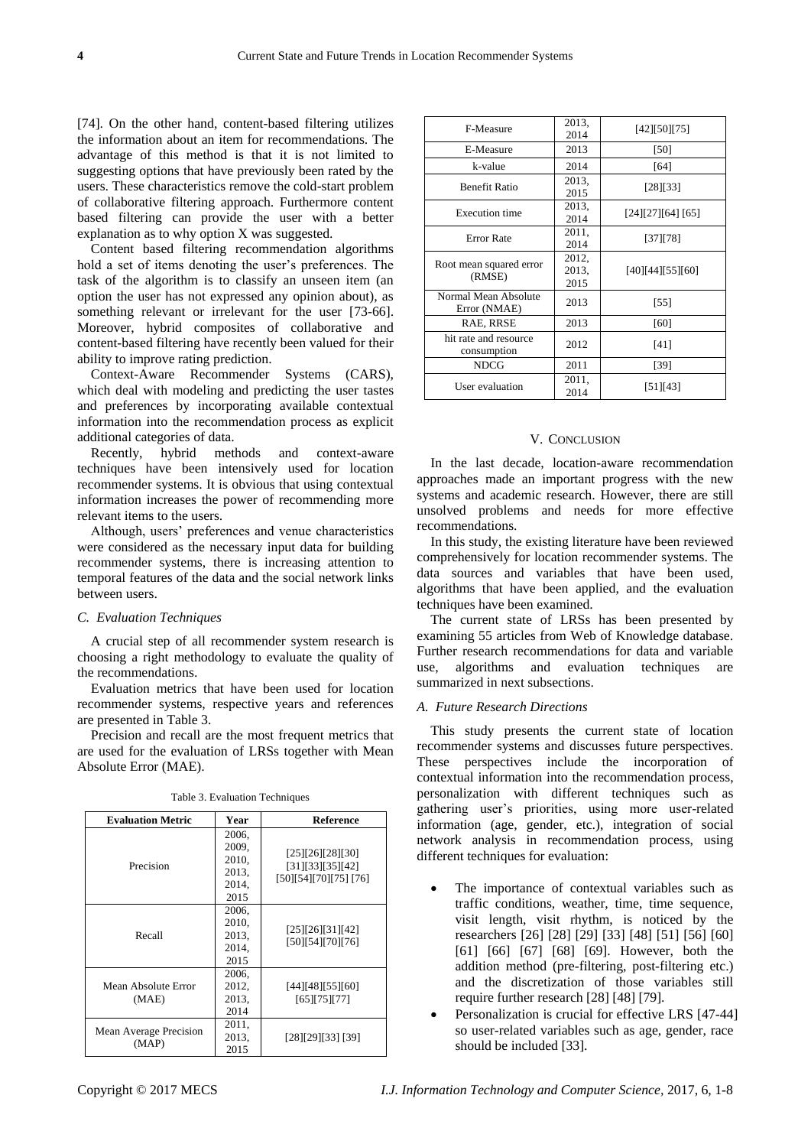[74]. On the other hand, content-based filtering utilizes the information about an item for recommendations. The advantage of this method is that it is not limited to suggesting options that have previously been rated by the users. These characteristics remove the cold-start problem of collaborative filtering approach. Furthermore content based filtering can provide the user with a better explanation as to why option X was suggested.

Content based filtering recommendation algorithms hold a set of items denoting the user's preferences. The task of the algorithm is to classify an unseen item (an option the user has not expressed any opinion about), as something relevant or irrelevant for the user [73-66]. Moreover, hybrid composites of collaborative and content-based filtering have recently been valued for their ability to improve rating prediction.

Context-Aware Recommender Systems (CARS), which deal with modeling and predicting the user tastes and preferences by incorporating available contextual information into the recommendation process as explicit additional categories of data.

Recently, hybrid methods and context-aware techniques have been intensively used for location recommender systems. It is obvious that using contextual information increases the power of recommending more relevant items to the users.

Although, users' preferences and venue characteristics were considered as the necessary input data for building recommender systems, there is increasing attention to temporal features of the data and the social network links between users.

## *C. Evaluation Techniques*

A crucial step of all recommender system research is choosing a right methodology to evaluate the quality of the recommendations.

Evaluation metrics that have been used for location recommender systems, respective years and references are presented in Table 3.

Precision and recall are the most frequent metrics that are used for the evaluation of LRSs together with Mean Absolute Error (MAE).

| <b>Evaluation Metric</b>        | Year                                              | <b>Reference</b>                                             |
|---------------------------------|---------------------------------------------------|--------------------------------------------------------------|
| Precision                       | 2006,<br>2009,<br>2010,<br>2013,<br>2014,<br>2015 | [25][26][28][30]<br>[31][33][35][42]<br>[50][54][70][75][76] |
| Recall                          | 2006,<br>2010,<br>2013,<br>2014,<br>2015          | [25][26][31][42]<br>[50][54][70][76]                         |
| Mean Absolute Error<br>(MAE)    | 2006,<br>2012,<br>2013,<br>2014                   | [44][48][55][60]<br>[65] [75] [77]                           |
| Mean Average Precision<br>(MAP) | 2011,<br>2013,<br>2015                            | [28][29][33] [39]                                            |

Table 3. Evaluation Techniques

| F-Measure                            | 2013,<br>2014          | [42][50][75]     |
|--------------------------------------|------------------------|------------------|
| E-Measure                            | 2013                   | [50]             |
| k-value                              | 2014                   | [64]             |
| <b>Benefit Ratio</b>                 | 2013,<br>2015          | [28][33]         |
| <b>Execution time</b>                | 2013,<br>2014          | [24][27][64][65] |
| <b>Error Rate</b>                    | 2011,<br>2014          | $[37]$ $[78]$    |
| Root mean squared error<br>(RMSE)    | 2012,<br>2013.<br>2015 | [40][44][55][60] |
| Normal Mean Absolute<br>Error (NMAE) | 2013                   | $[55]$           |
| RAE, RRSE                            | 2013                   | [60]             |
| hit rate and resource<br>consumption | 2012                   | [41]             |
| <b>NDCG</b>                          | 2011                   | [39]             |
| User evaluation                      | 2011,<br>2014          | [51] [43]        |

# V. CONCLUSION

In the last decade, location-aware recommendation approaches made an important progress with the new systems and academic research. However, there are still unsolved problems and needs for more effective recommendations.

In this study, the existing literature have been reviewed comprehensively for location recommender systems. The data sources and variables that have been used, algorithms that have been applied, and the evaluation techniques have been examined.

The current state of LRSs has been presented by examining 55 articles from Web of Knowledge database. Further research recommendations for data and variable use, algorithms and evaluation techniques are summarized in next subsections.

## *A. Future Research Directions*

This study presents the current state of location recommender systems and discusses future perspectives. These perspectives include the incorporation of contextual information into the recommendation process, personalization with different techniques such as gathering user's priorities, using more user-related information (age, gender, etc.), integration of social network analysis in recommendation process, using different techniques for evaluation:

- The importance of contextual variables such as traffic conditions, weather, time, time sequence, visit length, visit rhythm, is noticed by the researchers [26] [28] [29] [33] [48] [51] [56] [60] [61] [66] [67] [68] [69]. However, both the addition method (pre-filtering, post-filtering etc.) and the discretization of those variables still require further research [28] [48] [79].
- Personalization is crucial for effective LRS [47-44] so user-related variables such as age, gender, race should be included [33].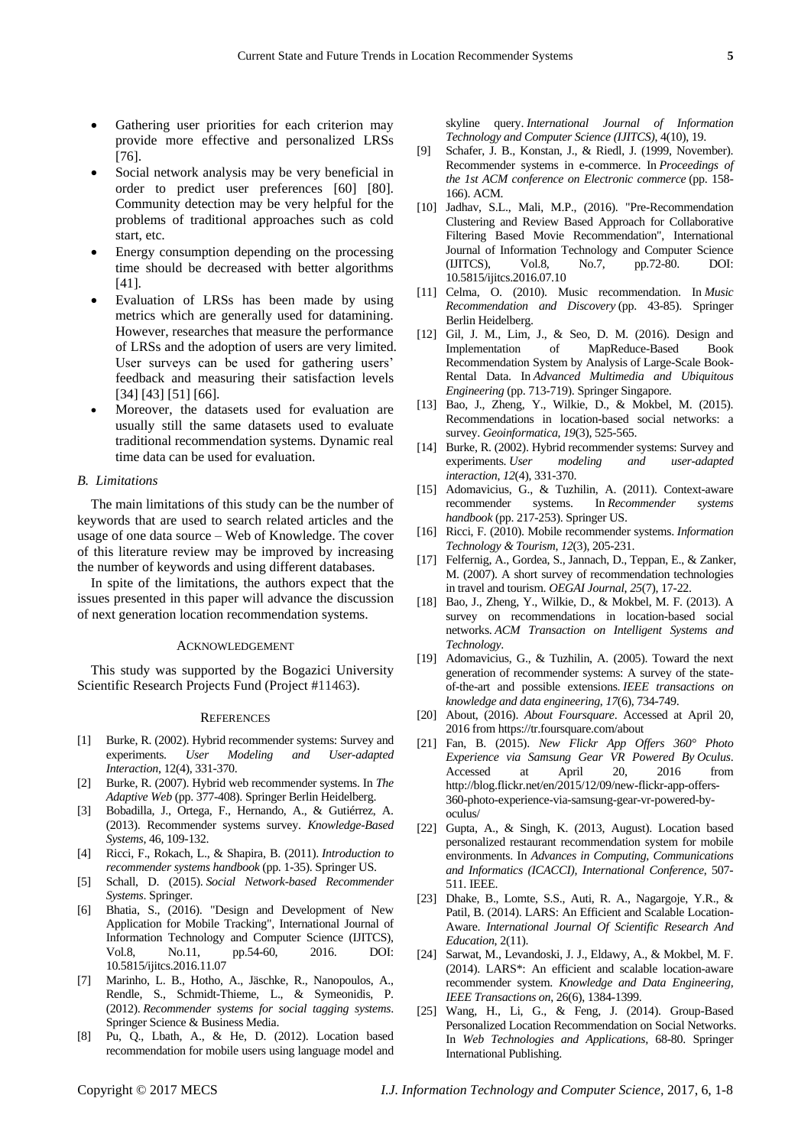- Gathering user priorities for each criterion may provide more effective and personalized LRSs [76].
- Social network analysis may be very beneficial in order to predict user preferences [60] [80]. Community detection may be very helpful for the problems of traditional approaches such as cold start, etc.
- Energy consumption depending on the processing time should be decreased with better algorithms [41].
- Evaluation of LRSs has been made by using metrics which are generally used for datamining. However, researches that measure the performance of LRSs and the adoption of users are very limited. User surveys can be used for gathering users' feedback and measuring their satisfaction levels [34] [43] [51] [66].
- Moreover, the datasets used for evaluation are usually still the same datasets used to evaluate traditional recommendation systems. Dynamic real time data can be used for evaluation.

#### *B. Limitations*

The main limitations of this study can be the number of keywords that are used to search related articles and the usage of one data source – Web of Knowledge. The cover of this literature review may be improved by increasing the number of keywords and using different databases.

In spite of the limitations, the authors expect that the issues presented in this paper will advance the discussion of next generation location recommendation systems.

### ACKNOWLEDGEMENT

This study was supported by the Bogazici University Scientific Research Projects Fund (Project #11463).

#### **REFERENCES**

- [1] Burke, R. (2002). Hybrid recommender systems: Survey and experiments. *User Modeling and User-adapted Interaction*, 12(4), 331-370.
- [2] Burke, R. (2007). Hybrid web recommender systems. In *The Adaptive Web* (pp. 377-408). Springer Berlin Heidelberg.
- [3] Bobadilla, J., Ortega, F., Hernando, A., & Gutiérrez, A. (2013). Recommender systems survey. *Knowledge-Based Systems*, 46, 109-132.
- [4] Ricci, F., Rokach, L., & Shapira, B. (2011). *Introduction to recommender systems handbook* (pp. 1-35). Springer US.
- [5] Schall, D. (2015). *Social Network-based Recommender Systems*. Springer.
- [6] Bhatia, S., (2016). "Design and Development of New Application for Mobile Tracking", International Journal of Information Technology and Computer Science (IJITCS), Vol.8, No.11, pp.54-60, 2016. DOI: 10.5815/ijitcs.2016.11.07
- [7] Marinho, L. B., Hotho, A., Jäschke, R., Nanopoulos, A., Rendle, S., Schmidt-Thieme, L., & Symeonidis, P. (2012). *Recommender systems for social tagging systems*. Springer Science & Business Media.
- [8] Pu, Q., Lbath, A., & He, D. (2012). Location based recommendation for mobile users using language model and

skyline query. *International Journal of Information Technology and Computer Science (IJITCS)*, 4(10), 19.

- [9] Schafer, J. B., Konstan, J., & Riedl, J. (1999, November). Recommender systems in e-commerce. In *Proceedings of the 1st ACM conference on Electronic commerce* (pp. 158- 166). ACM.
- [10] Jadhav, S.L., Mali, M.P., (2016). "Pre-Recommendation Clustering and Review Based Approach for Collaborative Filtering Based Movie Recommendation", International Journal of Information Technology and Computer Science (IJITCS), Vol.8, No.7, pp.72-80. DOI: 10.5815/ijitcs.2016.07.10
- [11] Celma, O. (2010). Music recommendation. In *Music Recommendation and Discovery* (pp. 43-85). Springer Berlin Heidelberg.
- [12] Gil, J. M., Lim, J., & Seo, D. M. (2016). Design and Implementation of MapReduce-Based Book Recommendation System by Analysis of Large-Scale Book-Rental Data. In *Advanced Multimedia and Ubiquitous Engineering* (pp. 713-719). Springer Singapore.
- [13] Bao, J., Zheng, Y., Wilkie, D., & Mokbel, M. (2015). Recommendations in location-based social networks: a survey. *Geoinformatica*, *19*(3), 525-565.
- [14] Burke, R. (2002). Hybrid recommender systems: Survey and experiments. *User modeling and user-adapted interaction*, *12*(4), 331-370.
- [15] Adomavicius, G., & Tuzhilin, A. (2011). Context-aware recommender systems. In *Recommender systems handbook* (pp. 217-253). Springer US.
- [16] Ricci, F. (2010). Mobile recommender systems. *Information Technology & Tourism*, *12*(3), 205-231.
- [17] Felfernig, A., Gordea, S., Jannach, D., Teppan, E., & Zanker, M. (2007). A short survey of recommendation technologies in travel and tourism. *OEGAI Journal*, *25*(7), 17-22.
- [18] Bao, J., Zheng, Y., Wilkie, D., & Mokbel, M. F. (2013). A survey on recommendations in location-based social networks. *ACM Transaction on Intelligent Systems and Technology*.
- [19] Adomavicius, G., & Tuzhilin, A. (2005). Toward the next generation of recommender systems: A survey of the stateof-the-art and possible extensions. *IEEE transactions on knowledge and data engineering*, *17*(6), 734-749.
- [20] About, (2016). *About Foursquare*. Accessed at April 20, 2016 from https://tr.foursquare.com/about
- [21] Fan, B. (2015). *New Flickr App Offers 360° Photo Experience via Samsung Gear VR Powered By Oculus*. Accessed at April 20, 2016 from http://blog.flickr.net/en/2015/12/09/new-flickr-app-offers-360-photo-experience-via-samsung-gear-vr-powered-byoculus/
- [22] Gupta, A., & Singh, K. (2013, August). Location based personalized restaurant recommendation system for mobile environments. In *Advances in Computing, Communications and Informatics (ICACCI), International Conference*, 507- 511. IEEE.
- [23] Dhake, B., Lomte, S.S., Auti, R. A., Nagargoje, Y.R., & Patil, B. (2014). LARS: An Efficient and Scalable Location-Aware. *International Journal Of Scientific Research And Education*, 2(11).
- [24] Sarwat, M., Levandoski, J. J., Eldawy, A., & Mokbel, M. F. (2014). LARS\*: An efficient and scalable location-aware recommender system. *Knowledge and Data Engineering, IEEE Transactions on*, 26(6), 1384-1399.
- [25] Wang, H., Li, G., & Feng, J. (2014). Group-Based Personalized Location Recommendation on Social Networks. In *Web Technologies and Applications,* 68-80. Springer International Publishing.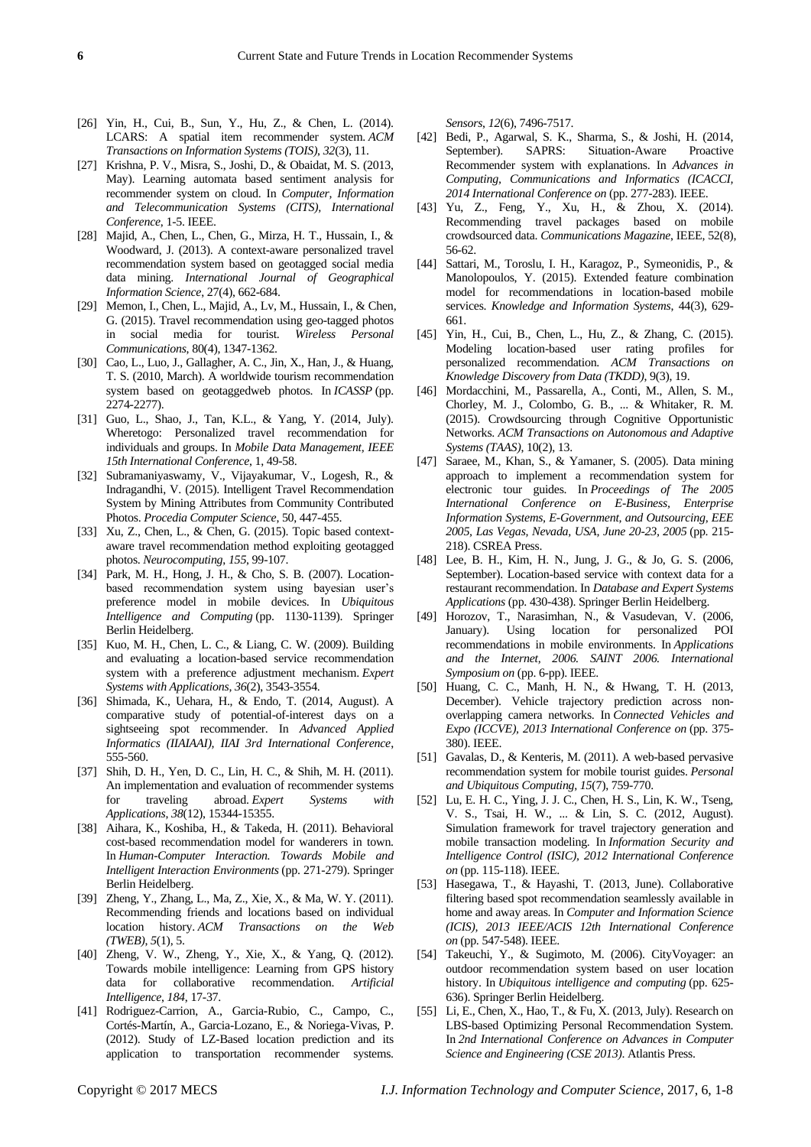- [26] Yin, H., Cui, B., Sun, Y., Hu, Z., & Chen, L. (2014). LCARS: A spatial item recommender system. *ACM Transactions on Information Systems (TOIS)*, *32*(3), 11.
- [27] Krishna, P. V., Misra, S., Joshi, D., & Obaidat, M. S. (2013, May). Learning automata based sentiment analysis for recommender system on cloud. In *Computer, Information and Telecommunication Systems (CITS), International Conference*, 1-5. IEEE.
- [28] Majid, A., Chen, L., Chen, G., Mirza, H. T., Hussain, I., & Woodward, J. (2013). A context-aware personalized travel recommendation system based on geotagged social media data mining. *International Journal of Geographical Information Science*, 27(4), 662-684.
- [29] Memon, I., Chen, L., Majid, A., Lv, M., Hussain, I., & Chen, G. (2015). Travel recommendation using geo-tagged photos in social media for tourist. *Wireless Personal Communications*, 80(4), 1347-1362.
- [30] Cao, L., Luo, J., Gallagher, A. C., Jin, X., Han, J., & Huang, T. S. (2010, March). A worldwide tourism recommendation system based on geotaggedweb photos. In *ICASSP* (pp. 2274-2277).
- [31] Guo, L., Shao, J., Tan, K.L., & Yang, Y. (2014, July). Wheretogo: Personalized travel recommendation for individuals and groups. In *Mobile Data Management, IEEE 15th International Conference*, 1, 49-58.
- [32] Subramaniyaswamy, V., Vijayakumar, V., Logesh, R., & Indragandhi, V. (2015). Intelligent Travel Recommendation System by Mining Attributes from Community Contributed Photos. *Procedia Computer Science*, 50, 447-455.
- [33] Xu, Z., Chen, L., & Chen, G. (2015). Topic based contextaware travel recommendation method exploiting geotagged photos. *Neurocomputing*, *155*, 99-107.
- [34] Park, M. H., Hong, J. H., & Cho, S. B. (2007). Locationbased recommendation system using bayesian user's preference model in mobile devices. In *Ubiquitous Intelligence and Computing* (pp. 1130-1139). Springer Berlin Heidelberg.
- [35] Kuo, M. H., Chen, L. C., & Liang, C. W. (2009). Building and evaluating a location-based service recommendation system with a preference adjustment mechanism. *Expert Systems with Applications*, *36*(2), 3543-3554.
- [36] Shimada, K., Uehara, H., & Endo, T. (2014, August). A comparative study of potential-of-interest days on a sightseeing spot recommender. In *Advanced Applied Informatics (IIAIAAI), IIAI 3rd International Conference*, 555-560.
- [37] Shih, D. H., Yen, D. C., Lin, H. C., & Shih, M. H. (2011). An implementation and evaluation of recommender systems for traveling abroad. *Expert Systems with Applications*, *38*(12), 15344-15355.
- [38] Aihara, K., Koshiba, H., & Takeda, H. (2011). Behavioral cost-based recommendation model for wanderers in town. In *Human-Computer Interaction. Towards Mobile and Intelligent Interaction Environments* (pp. 271-279). Springer Berlin Heidelberg.
- [39] Zheng, Y., Zhang, L., Ma, Z., Xie, X., & Ma, W. Y. (2011). Recommending friends and locations based on individual location history. *ACM Transactions on the Web (TWEB)*, *5*(1), 5.
- [40] Zheng, V. W., Zheng, Y., Xie, X., & Yang, Q. (2012). Towards mobile intelligence: Learning from GPS history data for collaborative recommendation. *Artificial Intelligence*, *184*, 17-37.
- [41] Rodriguez-Carrion, A., Garcia-Rubio, C., Campo, C., Cortés-Martín, A., Garcia-Lozano, E., & Noriega-Vivas, P. (2012). Study of LZ-Based location prediction and its application to transportation recommender systems.

*Sensors*, *12*(6), 7496-7517.

- [42] Bedi, P., Agarwal, S. K., Sharma, S., & Joshi, H. (2014, September). SAPRS: Situation-Aware Proactive Recommender system with explanations. In *Advances in Computing, Communications and Informatics (ICACCI, 2014 International Conference on* (pp. 277-283). IEEE.
- [43] Yu, Z., Feng, Y., Xu, H., & Zhou, X. (2014). Recommending travel packages based on mobile crowdsourced data. *Communications Magazine*, IEEE, 52(8), 56-62.
- [44] Sattari, M., Toroslu, I. H., Karagoz, P., Symeonidis, P., & Manolopoulos, Y. (2015). Extended feature combination model for recommendations in location-based mobile services. *Knowledge and Information Systems*, 44(3), 629- 661.
- [45] Yin, H., Cui, B., Chen, L., Hu, Z., & Zhang, C. (2015). Modeling location-based user rating profiles for personalized recommendation. *ACM Transactions on Knowledge Discovery from Data (TKDD)*, 9(3), 19.
- [46] Mordacchini, M., Passarella, A., Conti, M., Allen, S. M., Chorley, M. J., Colombo, G. B., ... & Whitaker, R. M. (2015). Crowdsourcing through Cognitive Opportunistic Networks. *ACM Transactions on Autonomous and Adaptive Systems (TAAS)*, 10(2), 13.
- [47] Saraee, M., Khan, S., & Yamaner, S. (2005). Data mining approach to implement a recommendation system for electronic tour guides. In *Proceedings of The 2005 International Conference on E-Business, Enterprise Information Systems, E-Government, and Outsourcing, EEE 2005, Las Vegas, Nevada, USA, June 20-23, 2005* (pp. 215- 218). CSREA Press.
- [48] Lee, B. H., Kim, H. N., Jung, J. G., & Jo, G. S. (2006, September). Location-based service with context data for a restaurant recommendation. In *Database and Expert Systems Applications* (pp. 430-438). Springer Berlin Heidelberg.
- [49] Horozov, T., Narasimhan, N., & Vasudevan, V. (2006, January). Using location for personalized POI recommendations in mobile environments. In *Applications and the Internet, 2006. SAINT 2006. International Symposium on* (pp. 6-pp). IEEE.
- [50] Huang, C. C., Manh, H. N., & Hwang, T. H. (2013, December). Vehicle trajectory prediction across nonoverlapping camera networks. In *Connected Vehicles and Expo (ICCVE), 2013 International Conference on* (pp. 375- 380). IEEE.
- [51] Gavalas, D., & Kenteris, M. (2011). A web-based pervasive recommendation system for mobile tourist guides. *Personal and Ubiquitous Computing*, *15*(7), 759-770.
- [52] Lu, E. H. C., Ying, J. J. C., Chen, H. S., Lin, K. W., Tseng, V. S., Tsai, H. W., ... & Lin, S. C. (2012, August). Simulation framework for travel trajectory generation and mobile transaction modeling. In *Information Security and Intelligence Control (ISIC), 2012 International Conference on* (pp. 115-118). IEEE.
- [53] Hasegawa, T., & Hayashi, T. (2013, June). Collaborative filtering based spot recommendation seamlessly available in home and away areas. In *Computer and Information Science (ICIS), 2013 IEEE/ACIS 12th International Conference on* (pp. 547-548). IEEE.
- [54] Takeuchi, Y., & Sugimoto, M. (2006). CityVoyager: an outdoor recommendation system based on user location history. In *Ubiquitous intelligence and computing* (pp. 625- 636). Springer Berlin Heidelberg.
- [55] Li, E., Chen, X., Hao, T., & Fu, X. (2013, July). Research on LBS-based Optimizing Personal Recommendation System. In *2nd International Conference on Advances in Computer Science and Engineering (CSE 2013)*. Atlantis Press.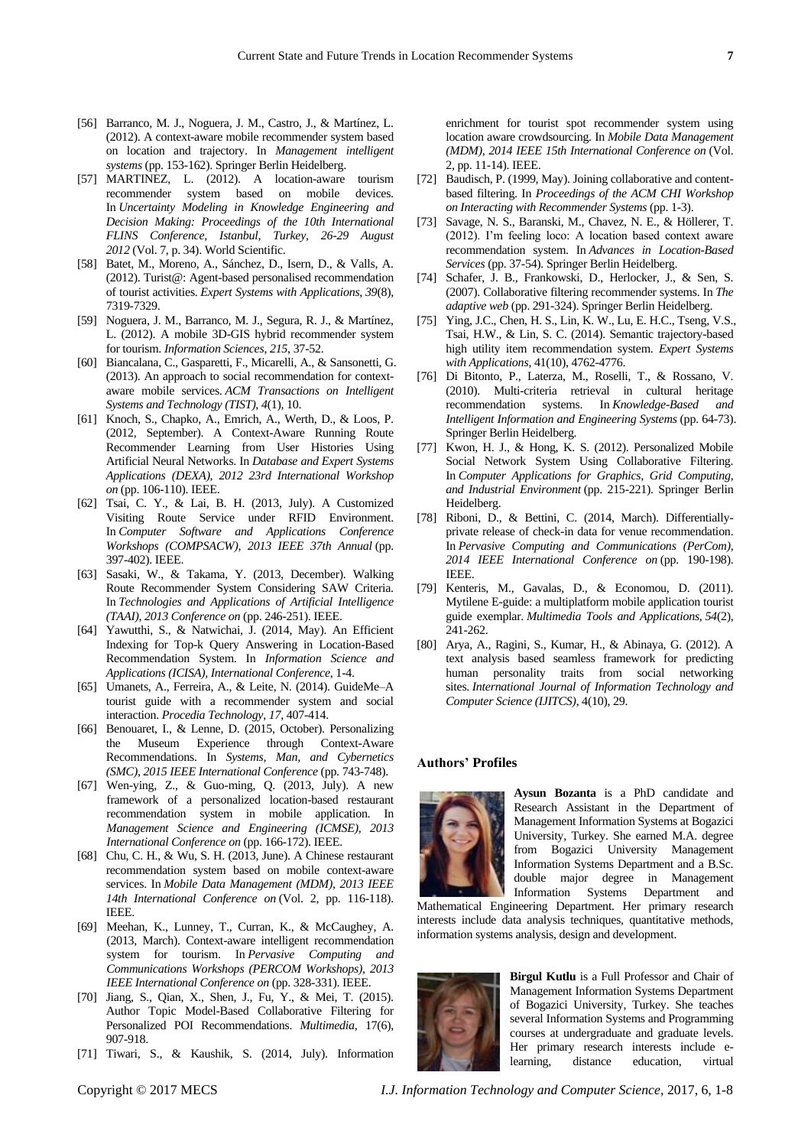- [56] Barranco, M. J., Noguera, J. M., Castro, J., & Mart nez, L. (2012). A context-aware mobile recommender system based on location and trajectory. In *Management intelligent systems* (pp. 153-162). Springer Berlin Heidelberg.
- [57] MARTINEZ, L. (2012). A location-aware tourism recommender system based on mobile devices. In *Uncertainty Modeling in Knowledge Engineering and Decision Making: Proceedings of the 10th International FLINS Conference, Istanbul, Turkey, 26-29 August 2012* (Vol. 7, p. 34). World Scientific.
- [58] Batet, M., Moreno, A., Sánchez, D., Isern, D., & Valls, A. (2012). Turist@: Agent-based personalised recommendation of tourist activities. *Expert Systems with Applications*, *39*(8), 7319-7329.
- [59] Noguera, J. M., Barranco, M. J., Segura, R. J., & Martínez, L. (2012). A mobile 3D-GIS hybrid recommender system for tourism. *Information Sciences*, *215*, 37-52.
- [60] Biancalana, C., Gasparetti, F., Micarelli, A., & Sansonetti, G. (2013). An approach to social recommendation for contextaware mobile services. *ACM Transactions on Intelligent Systems and Technology (TIST)*, *4*(1), 10.
- [61] Knoch, S., Chapko, A., Emrich, A., Werth, D., & Loos, P. (2012, September). A Context-Aware Running Route Recommender Learning from User Histories Using Artificial Neural Networks. In *Database and Expert Systems Applications (DEXA), 2012 23rd International Workshop on* (pp. 106-110). IEEE.
- [62] Tsai, C. Y., & Lai, B. H. (2013, July). A Customized Visiting Route Service under RFID Environment. In *Computer Software and Applications Conference Workshops (COMPSACW), 2013 IEEE 37th Annual* (pp. 397-402). IEEE.
- [63] Sasaki, W., & Takama, Y. (2013, December). Walking Route Recommender System Considering SAW Criteria. In *Technologies and Applications of Artificial Intelligence (TAAI), 2013 Conference on* (pp. 246-251). IEEE.
- [64] Yawutthi, S., & Natwichai, J. (2014, May). An Efficient Indexing for Top-k Query Answering in Location-Based Recommendation System. In *Information Science and Applications (ICISA), International Conference*, 1-4.
- [65] Umanets, A., Ferreira, A., & Leite, N. (2014). GuideMe–A tourist guide with a recommender system and social interaction. *Procedia Technology*, *17*, 407-414.
- [66] Benouaret, I., & Lenne, D. (2015, October). Personalizing the Museum Experience through Context-Aware Recommendations. In *Systems, Man, and Cybernetics (SMC), 2015 IEEE International Conference* (pp. 743-748).
- [67] Wen-ying, Z., & Guo-ming, Q. (2013, July). A new framework of a personalized location-based restaurant recommendation system in mobile application. In *Management Science and Engineering (ICMSE), 2013 International Conference on* (pp. 166-172). IEEE.
- [68] Chu, C. H., & Wu, S. H. (2013, June). A Chinese restaurant recommendation system based on mobile context-aware services. In *Mobile Data Management (MDM), 2013 IEEE 14th International Conference on* (Vol. 2, pp. 116-118). IEEE.
- [69] Meehan, K., Lunney, T., Curran, K., & McCaughey, A. (2013, March). Context-aware intelligent recommendation system for tourism. In *Pervasive Computing and Communications Workshops (PERCOM Workshops), 2013 IEEE International Conference on* (pp. 328-331). IEEE.
- [70] Jiang, S., Qian, X., Shen, J., Fu, Y., & Mei, T. (2015). Author Topic Model-Based Collaborative Filtering for Personalized POI Recommendations. *Multimedia*, 17(6), 907-918.
- [71] Tiwari, S., & Kaushik, S. (2014, July). Information

enrichment for tourist spot recommender system using location aware crowdsourcing. In *Mobile Data Management (MDM), 2014 IEEE 15th International Conference on* (Vol. 2, pp. 11-14). IEEE.

- [72] Baudisch, P. (1999, May). Joining collaborative and contentbased filtering. In *Proceedings of the ACM CHI Workshop on Interacting with Recommender Systems* (pp. 1-3).
- [73] Savage, N. S., Baranski, M., Chavez, N. E., & Höllerer, T. (2012). I'm feeling loco: A location based context aware recommendation system. In *Advances in Location-Based Services* (pp. 37-54). Springer Berlin Heidelberg.
- [74] Schafer, J. B., Frankowski, D., Herlocker, J., & Sen, S. (2007). Collaborative filtering recommender systems. In *The adaptive web* (pp. 291-324). Springer Berlin Heidelberg.
- [75] Ying, J.C., Chen, H. S., Lin, K. W., Lu, E. H.C., Tseng, V.S., Tsai, H.W., & Lin, S. C. (2014). Semantic trajectory-based high utility item recommendation system. *Expert Systems with Applications*, 41(10), 4762-4776.
- [76] Di Bitonto, P., Laterza, M., Roselli, T., & Rossano, V. (2010). Multi-criteria retrieval in cultural heritage recommendation systems. In *Knowledge-Based and Intelligent Information and Engineering Systems* (pp. 64-73). Springer Berlin Heidelberg.
- [77] Kwon, H. J., & Hong, K. S. (2012). Personalized Mobile Social Network System Using Collaborative Filtering. In *Computer Applications for Graphics, Grid Computing, and Industrial Environment* (pp. 215-221). Springer Berlin Heidelberg.
- [78] Riboni, D., & Bettini, C. (2014, March). Differentiallyprivate release of check-in data for venue recommendation. In *Pervasive Computing and Communications (PerCom), 2014 IEEE International Conference on* (pp. 190-198). IEEE.
- [79] Kenteris, M., Gavalas, D., & Economou, D. (2011). Mytilene E-guide: a multiplatform mobile application tourist guide exemplar. *Multimedia Tools and Applications*, *54*(2), 241-262.
- [80] Arya, A., Ragini, S., Kumar, H., & Abinaya, G. (2012). A text analysis based seamless framework for predicting human personality traits from social networking sites. *International Journal of Information Technology and Computer Science (IJITCS)*, 4(10), 29.

#### **Authors' Profiles**



**Aysun Bozanta** is a PhD candidate and Research Assistant in the Department of Management Information Systems at Bogazici University, Turkey. She earned M.A. degree from Bogazici University Management Information Systems Department and a B.Sc. double major degree in Management Information Systems Department and

Mathematical Engineering Department. Her primary research interests include data analysis techniques, quantitative methods, information systems analysis, design and development.



**Birgul Kutlu** is a Full Professor and Chair of Management Information Systems Department of Bogazici University, Turkey. She teaches several Information Systems and Programming courses at undergraduate and graduate levels. Her primary research interests include elearning, distance education, virtual